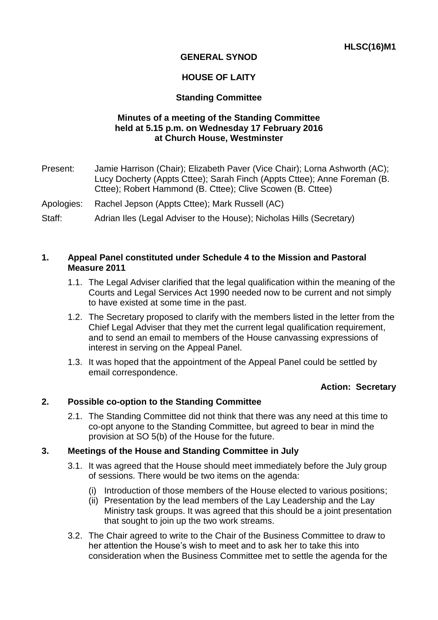# **GENERAL SYNOD**

## **HOUSE OF LAITY**

## **Standing Committee**

## **Minutes of a meeting of the Standing Committee held at 5.15 p.m. on Wednesday 17 February 2016 at Church House, Westminster**

Present: Jamie Harrison (Chair); Elizabeth Paver (Vice Chair); Lorna Ashworth (AC); Lucy Docherty (Appts Cttee); Sarah Finch (Appts Cttee); Anne Foreman (B. Cttee); Robert Hammond (B. Cttee); Clive Scowen (B. Cttee)

Apologies: Rachel Jepson (Appts Cttee); Mark Russell (AC)

Staff: Adrian Iles (Legal Adviser to the House); Nicholas Hills (Secretary)

#### **1. Appeal Panel constituted under Schedule 4 to the Mission and Pastoral Measure 2011**

- 1.1. The Legal Adviser clarified that the legal qualification within the meaning of the Courts and Legal Services Act 1990 needed now to be current and not simply to have existed at some time in the past.
- 1.2. The Secretary proposed to clarify with the members listed in the letter from the Chief Legal Adviser that they met the current legal qualification requirement, and to send an email to members of the House canvassing expressions of interest in serving on the Appeal Panel.
- 1.3. It was hoped that the appointment of the Appeal Panel could be settled by email correspondence.

## **Action: Secretary**

## **2. Possible co-option to the Standing Committee**

2.1. The Standing Committee did not think that there was any need at this time to co-opt anyone to the Standing Committee, but agreed to bear in mind the provision at SO 5(b) of the House for the future.

## **3. Meetings of the House and Standing Committee in July**

- 3.1. It was agreed that the House should meet immediately before the July group of sessions. There would be two items on the agenda:
	- (i) Introduction of those members of the House elected to various positions;
	- (ii) Presentation by the lead members of the Lay Leadership and the Lay Ministry task groups. It was agreed that this should be a joint presentation that sought to join up the two work streams.
- 3.2. The Chair agreed to write to the Chair of the Business Committee to draw to her attention the House's wish to meet and to ask her to take this into consideration when the Business Committee met to settle the agenda for the